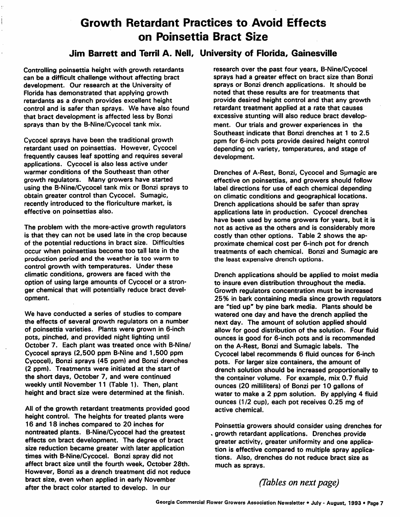## *Growth Retardant Practices to Avoid Effects on Poinsettia Bract Size*

### *Jim Barrett and Terril A. Nell, University of Florida, Gainesville*

*Controlling poinsettia height with growth retardants can be a difficult challenge without affecting bract development. Our research at the University of Florida has demonstrated that applying growth retardants as a drench provides excellent height control and is safer than sprays. We have also found that bract development is affected less by Bonzi sprays than by the B-Nine/Cycocel tank mix.*

*Cycocel sprays have been the traditional growth retardant used on poinsettias. However, Cycocel frequently causes leaf spotting and requires several applications. Cycocel is also less active under warmer conditions of the Southeast than other growth regulators. Many growers have started using the B-Nine/Cycocel tank mix or Bonzi sprays to obtain greater control than Cycocel. Sumagic, recently introduced to the floriculture market, is effective on poinsettias also.*

*The problem with the more-active growth regulators is that they can not be used late in the crop because of the potential reductions in bract size. Difficulties occur when poinsettias become too tall late in the production period and the weather is too warm to control growth with temperatures. Under these climatic conditions, growers are faced with the option of using large amounts of Cycocel or a stron ger chemical that will potentially reduce bract devel opment.*

*We have conducted a series of studies to compare the effects of several growth regulators on a number of poinsettia varieties. Plants were grown in 6-inch pots, pinched, and provided night lighting until October 7. Each plant was treated once with B-Nine/ Cycocel sprays (2,500 ppm B-Nine and 1,500 ppm Cycocel), Bonzi sprays (45 ppm) and Bonzi drenches (2 ppm). Treatments were initiated at the start of the short days, October 7, and were continued weekly until November 11 (Table 1). Then, plant height and bract size were determined at the finish.*

*All of the growth retardant treatments provided good height control. The heights for treated plants were 16 and 18 inches compared to 20 inches for nontreated plants. B-Nine/Cycocel had the greatest effects on bract development. The degree of bract size reduction became greater with later application times with B-Nine/Cycocel. Bonzi spray did not affect bract size until the fourth week, October 28th. However, Bonzi as a drench treatment did not reduce bract size, even when applied in early November after the bract color started to develop. In our*

*research over the past four years, B-Nine/Cycocel sprays had a greater effect on bract size than Bonzi sprays or Bonzi drench applications. It should be noted that these results are for treatments that provide desired height control and that any growth retardant treatment applied at a rate that causes excessive stunting will also reduce bract develop ment. Our trials and grower experiences in the Southeast indicate that Bonzi drenches at 1 to 2.5 ppm for 6-inch pots provide desired height control depending on variety, temperatures, and stage of development.*

*Drenches of A-Rest, Bonzi, Cycocel and Sumagic are effective on poinsettias, and growers should follow label directions for use of each chemical depending on climatic conditions and geographical locations. Drench applications should be safer than spray applications late in production. Cycocel drenches have been used by some growers for years, but it is not as active as the others and is considerably more costly than other options. Table 2 shows the ap proximate chemical cost per 6-inch pot for drench treatments of each chemical. Bonzi and Sumagic are the least expensive drench options.*

*Drench applications should be applied to moist media to insure even distribution throughout the media. Growth regulators concentration must be increased 25% in bark containing media since growth regulators are "tied up" by pine bark media. Plants should be watered one day and have the drench applied the next day. The amount of solution applied should allow for good distribution of the solution. Four fluid ounces is good for 6-inch pots and is recommended on the A-Rest, Bonzi and Sumagic labels. The Cycocel label recommends 6 fluid ounces for 6-inch pots. For larger size containers, the amount of drench solution should be increased proportionally to the container volume. For example, mix 0.7 fluid ounces (20 milliliters) of Bonzi per 10 gallons of water to make a 2 ppm solution. By applying 4 fluid ounces (1/2 cup), each pot receives 0.25 mg of active chemical.*

*Poinsettia growers should consider using drenches for . growth retardant applications. Drenches provide greater activity, greater uniformity and one applica tion is effective compared to multiple spray applica tions. Also, drenches do not reduce bract size as much as sprays.*

*(Tables on next page)*